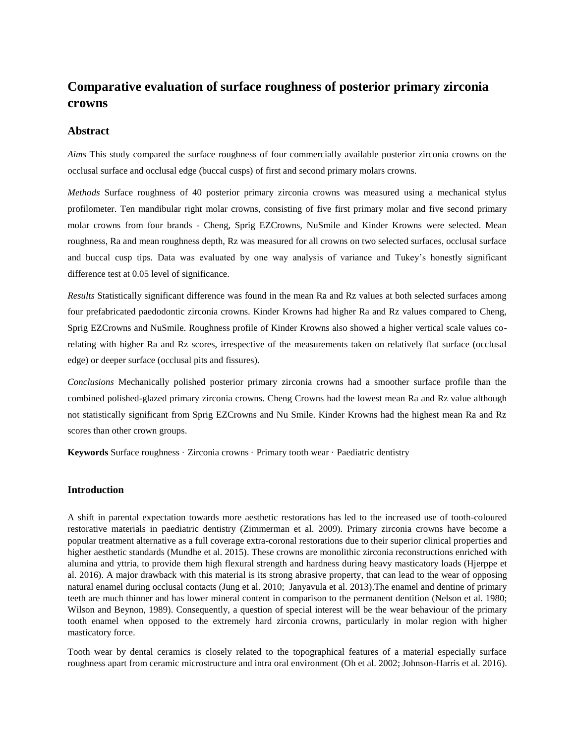# **Comparative evaluation of surface roughness of posterior primary zirconia crowns**

# **Abstract**

*Aims* This study compared the surface roughness of four commercially available posterior zirconia crowns on the occlusal surface and occlusal edge (buccal cusps) of first and second primary molars crowns.

*Methods* Surface roughness of 40 posterior primary zirconia crowns was measured using a mechanical stylus profilometer. Ten mandibular right molar crowns, consisting of five first primary molar and five second primary molar crowns from four brands - Cheng, Sprig EZCrowns, NuSmile and Kinder Krowns were selected. Mean roughness, Ra and mean roughness depth, Rz was measured for all crowns on two selected surfaces, occlusal surface and buccal cusp tips. Data was evaluated by one way analysis of variance and Tukey's honestly significant difference test at 0.05 level of significance.

*Results* Statistically significant difference was found in the mean Ra and Rz values at both selected surfaces among four prefabricated paedodontic zirconia crowns. Kinder Krowns had higher Ra and Rz values compared to Cheng, Sprig EZCrowns and NuSmile. Roughness profile of Kinder Krowns also showed a higher vertical scale values corelating with higher Ra and Rz scores, irrespective of the measurements taken on relatively flat surface (occlusal edge) or deeper surface (occlusal pits and fissures).

*Conclusions* Mechanically polished posterior primary zirconia crowns had a smoother surface profile than the combined polished-glazed primary zirconia crowns. Cheng Crowns had the lowest mean Ra and Rz value although not statistically significant from Sprig EZCrowns and Nu Smile. Kinder Krowns had the highest mean Ra and Rz scores than other crown groups.

**Keywords** Surface roughness · Zirconia crowns · Primary tooth wear · Paediatric dentistry

### **Introduction**

A shift in parental expectation towards more aesthetic restorations has led to the increased use of tooth-coloured restorative materials in paediatric dentistry (Zimmerman et al. 2009). Primary zirconia crowns have become a popular treatment alternative as a full coverage extra-coronal restorations due to their superior clinical properties and higher aesthetic standards (Mundhe et al. 2015). These crowns are monolithic zirconia reconstructions enriched with alumina and yttria, to provide them high flexural strength and hardness during heavy masticatory loads (Hjerppe et al. 2016). A major drawback with this material is its strong abrasive property, that can lead to the wear of opposing natural enamel during occlusal contacts (Jung et al. 2010; Janyavula et al. 2013).The enamel and dentine of primary teeth are much thinner and has lower mineral content in comparison to the permanent dentition (Nelson et al. 1980; Wilson and Beynon, 1989). Consequently, a question of special interest will be the wear behaviour of the primary tooth enamel when opposed to the extremely hard zirconia crowns, particularly in molar region with higher masticatory force.

Tooth wear by dental ceramics is closely related to the topographical features of a material especially surface roughness apart from ceramic microstructure and intra oral environment (Oh et al. 2002; Johnson-Harris et al. 2016).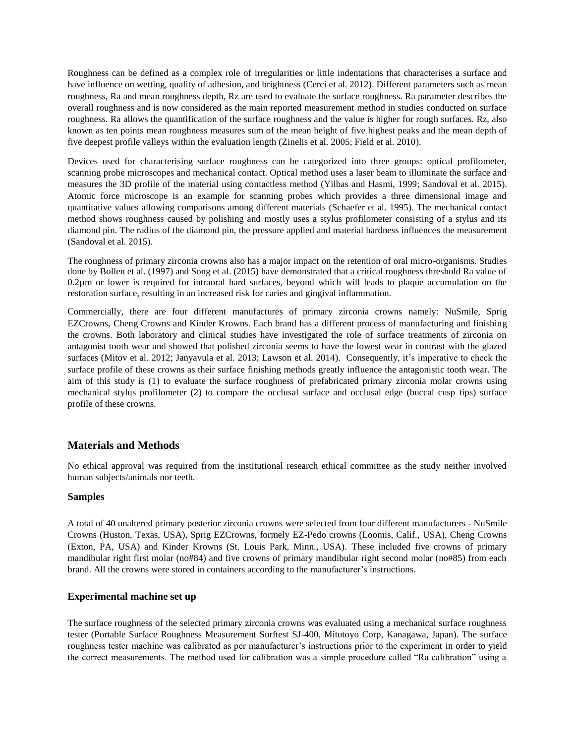Roughness can be defined as a complex role of irregularities or little indentations that characterises a surface and have influence on wetting, quality of adhesion, and brightness (Cerci et al. 2012). Different parameters such as mean roughness, Ra and mean roughness depth, Rz are used to evaluate the surface roughness. Ra parameter describes the overall roughness and is now considered as the main reported measurement method in studies conducted on surface roughness. Ra allows the quantification of the surface roughness and the value is higher for rough surfaces. Rz, also known as ten points mean roughness measures sum of the mean height of five highest peaks and the mean depth of five deepest profile valleys within the evaluation length (Zinelis et al. 2005; Field et al. 2010).

Devices used for characterising surface roughness can be categorized into three groups: optical profilometer, scanning probe microscopes and mechanical contact. Optical method uses a laser beam to illuminate the surface and measures the 3D profile of the material using contactless method (Yilbas and Hasmi, 1999; Sandoval et al. 2015). Atomic force microscope is an example for scanning probes which provides a three dimensional image and quantitative values allowing comparisons among different materials (Schaefer et al. 1995). The mechanical contact method shows roughness caused by polishing and mostly uses a stylus profilometer consisting of a stylus and its diamond pin. The radius of the diamond pin, the pressure applied and material hardness influences the measurement (Sandoval et al. 2015).

The roughness of primary zirconia crowns also has a major impact on the retention of oral micro-organisms. Studies done by Bollen et al. (1997) and Song et al. (2015) have demonstrated that a critical roughness threshold Ra value of 0.2µm or lower is required for intraoral hard surfaces, beyond which will leads to plaque accumulation on the restoration surface, resulting in an increased risk for caries and gingival inflammation.

Commercially, there are four different manufactures of primary zirconia crowns namely: NuSmile, Sprig EZCrowns, Cheng Crowns and Kinder Krowns. Each brand has a different process of manufacturing and finishing the crowns. Both laboratory and clinical studies have investigated the role of surface treatments of zirconia on antagonist tooth wear and showed that polished zirconia seems to have the lowest wear in contrast with the glazed surfaces (Mitov et al. 2012; Janyavula et al. 2013; Lawson et al. 2014). Consequently, it's imperative to check the surface profile of these crowns as their surface finishing methods greatly influence the antagonistic tooth wear. The aim of this study is (1) to evaluate the surface roughness of prefabricated primary zirconia molar crowns using mechanical stylus profilometer (2) to compare the occlusal surface and occlusal edge (buccal cusp tips) surface profile of these crowns.

# **Materials and Methods**

No ethical approval was required from the institutional research ethical committee as the study neither involved human subjects/animals nor teeth.

### **Samples**

A total of 40 unaltered primary posterior zirconia crowns were selected from four different manufacturers - NuSmile Crowns (Huston, Texas, USA), Sprig EZCrowns, formely EZ-Pedo crowns (Loomis, Calif., USA), Cheng Crowns (Exton, PA, USA) and Kinder Krowns (St. Louis Park, Minn., USA). These included five crowns of primary mandibular right first molar (no#84) and five crowns of primary mandibular right second molar (no#85) from each brand. All the crowns were stored in containers according to the manufacturer's instructions.

### **Experimental machine set up**

The surface roughness of the selected primary zirconia crowns was evaluated using a mechanical surface roughness tester (Portable Surface Roughness Measurement Surftest SJ-400, Mitutoyo Corp, Kanagawa, Japan). The surface roughness tester machine was calibrated as per manufacturer's instructions prior to the experiment in order to yield the correct measurements. The method used for calibration was a simple procedure called "Ra calibration" using a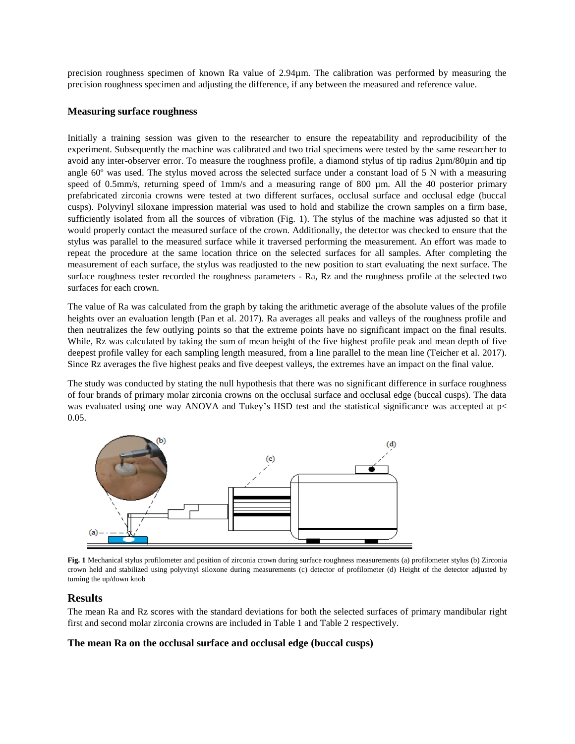precision roughness specimen of known Ra value of 2.94µm. The calibration was performed by measuring the precision roughness specimen and adjusting the difference, if any between the measured and reference value.

# **Measuring surface roughness**

Initially a training session was given to the researcher to ensure the repeatability and reproducibility of the experiment. Subsequently the machine was calibrated and two trial specimens were tested by the same researcher to avoid any inter-observer error. To measure the roughness profile, a diamond stylus of tip radius 2µm/80µin and tip angle 60º was used. The stylus moved across the selected surface under a constant load of 5 N with a measuring speed of 0.5mm/s, returning speed of 1mm/s and a measuring range of 800 µm. All the 40 posterior primary prefabricated zirconia crowns were tested at two different surfaces, occlusal surface and occlusal edge (buccal cusps). Polyvinyl siloxane impression material was used to hold and stabilize the crown samples on a firm base, sufficiently isolated from all the sources of vibration (Fig. 1). The stylus of the machine was adjusted so that it would properly contact the measured surface of the crown. Additionally, the detector was checked to ensure that the stylus was parallel to the measured surface while it traversed performing the measurement. An effort was made to repeat the procedure at the same location thrice on the selected surfaces for all samples. After completing the measurement of each surface, the stylus was readjusted to the new position to start evaluating the next surface. The surface roughness tester recorded the roughness parameters - Ra, Rz and the roughness profile at the selected two surfaces for each crown.

The value of Ra was calculated from the graph by taking the arithmetic average of the absolute values of the profile heights over an evaluation length (Pan et al. 2017). Ra averages all peaks and valleys of the roughness profile and then neutralizes the few outlying points so that the extreme points have no significant impact on the final results. While, Rz was calculated by taking the sum of mean height of the five highest profile peak and mean depth of five deepest profile valley for each sampling length measured, from a line parallel to the mean line (Teicher et al. 2017). Since Rz averages the five highest peaks and five deepest valleys, the extremes have an impact on the final value.

The study was conducted by stating the null hypothesis that there was no significant difference in surface roughness of four brands of primary molar zirconia crowns on the occlusal surface and occlusal edge (buccal cusps). The data was evaluated using one way ANOVA and Tukey's HSD test and the statistical significance was accepted at  $p$ 0.05.



 **Fig. 1** Mechanical stylus profilometer and position of zirconia crown during surface roughness measurements (a) profilometer stylus (b) Zirconia crown held and stabilized using polyvinyl siloxone during measurements (c) detector of profilometer (d) Height of the detector adjusted by turning the up/down knob

# **Results**

The mean Ra and Rz scores with the standard deviations for both the selected surfaces of primary mandibular right first and second molar zirconia crowns are included in Table 1 and Table 2 respectively.

# **The mean Ra on the occlusal surface and occlusal edge (buccal cusps)**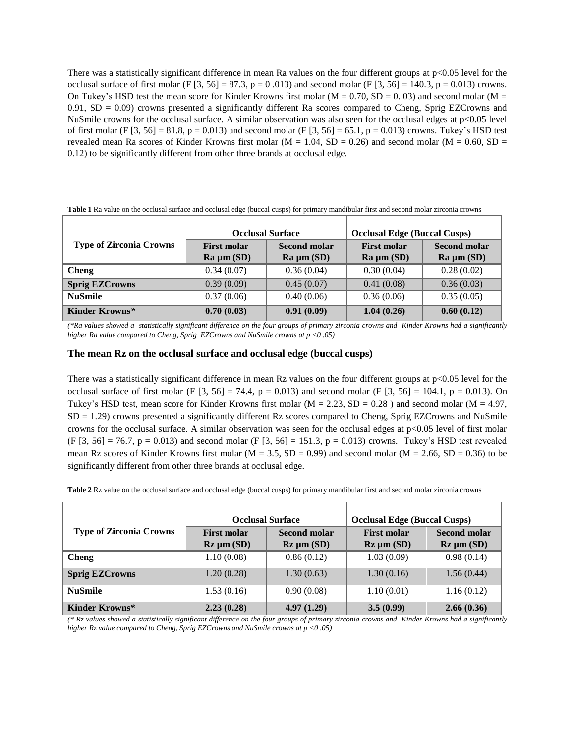There was a statistically significant difference in mean Ra values on the four different groups at  $p<0.05$  level for the occlusal surface of first molar (F  $[3, 56] = 87.3$ , p = 0.013) and second molar (F  $[3, 56] = 140.3$ , p = 0.013) crowns. On Tukey's HSD test the mean score for Kinder Krowns first molar ( $M = 0.70$ , SD = 0.03) and second molar ( $M = 0$ )  $0.91$ , SD = 0.09) crowns presented a significantly different Ra scores compared to Cheng, Sprig EZCrowns and NuSmile crowns for the occlusal surface. A similar observation was also seen for the occlusal edges at p<0.05 level of first molar (F  $[3, 56] = 81.8$ , p = 0.013) and second molar (F  $[3, 56] = 65.1$ , p = 0.013) crowns. Tukey's HSD test revealed mean Ra scores of Kinder Krowns first molar ( $M = 1.04$ ,  $SD = 0.26$ ) and second molar ( $M = 0.60$ ,  $SD =$ 0.12) to be significantly different from other three brands at occlusal edge.

|                                | <b>Occlusal Surface</b> |                 | <b>Occlusal Edge (Buccal Cusps)</b> |                     |
|--------------------------------|-------------------------|-----------------|-------------------------------------|---------------------|
| <b>Type of Zirconia Crowns</b> | <b>First molar</b>      | Second molar    | <b>First molar</b>                  | <b>Second molar</b> |
|                                | $Ra \mu m (SD)$         | $Ra \mu m (SD)$ | $Ra \mu m (SD)$                     | $Ra \mu m (SD)$     |
| <b>Cheng</b>                   | 0.34(0.07)              | 0.36(0.04)      | 0.30(0.04)                          | 0.28(0.02)          |
| <b>Sprig EZCrowns</b>          | 0.39(0.09)              | 0.45(0.07)      | 0.41(0.08)                          | 0.36(0.03)          |
| <b>NuSmile</b>                 | 0.37(0.06)              | 0.40(0.06)      | 0.36(0.06)                          | 0.35(0.05)          |
| Kinder Krowns*                 | 0.70(0.03)              | 0.91(0.09)      | 1.04(0.26)                          | 0.60(0.12)          |

**Table 1** Ra value on the occlusal surface and occlusal edge (buccal cusps) for primary mandibular first and second molar zirconia crowns

*(\*Ra values showed a statistically significant difference on the four groups of primary zirconia crowns and Kinder Krowns had a significantly higher Ra value compared to Cheng, Sprig EZCrowns and NuSmile crowns at p <0 .05)*

### **The mean Rz on the occlusal surface and occlusal edge (buccal cusps)**

There was a statistically significant difference in mean Rz values on the four different groups at  $p<0.05$  level for the occlusal surface of first molar (F  $[3, 56] = 74.4$ , p = 0.013) and second molar (F  $[3, 56] = 104.1$ , p = 0.013). On Tukey's HSD test, mean score for Kinder Krowns first molar ( $M = 2.23$ , SD = 0.28) and second molar ( $M = 4.97$ ,  $SD = 1.29$ ) crowns presented a significantly different Rz scores compared to Cheng, Sprig EZCrowns and NuSmile crowns for the occlusal surface. A similar observation was seen for the occlusal edges at p<0.05 level of first molar (F [3, 56] = 76.7, p = 0.013) and second molar (F [3, 56] = 151.3, p = 0.013) crowns. Tukey's HSD test revealed mean Rz scores of Kinder Krowns first molar ( $M = 3.5$ , SD = 0.99) and second molar ( $M = 2.66$ , SD = 0.36) to be significantly different from other three brands at occlusal edge.

**Table 2** Rz value on the occlusal surface and occlusal edge (buccal cusps) for primary mandibular first and second molar zirconia crowns

|                                | <b>Occlusal Surface</b>                                |                                 | <b>Occlusal Edge (Buccal Cusps)</b>                    |                                                         |
|--------------------------------|--------------------------------------------------------|---------------------------------|--------------------------------------------------------|---------------------------------------------------------|
| <b>Type of Zirconia Crowns</b> | <b>First molar</b><br>$\mathbf{Rz}$ µm $\mathbf{(SD)}$ | Second molar<br>$Rz \mu m (SD)$ | <b>First molar</b><br>$\mathbf{Rz}$ µm $\mathbf{(SD)}$ | <b>Second molar</b><br>$\mathbf{Rz}$ µm $\mathbf{(SD)}$ |
| <b>Cheng</b>                   | 1.10(0.08)                                             | 0.86(0.12)                      | 1.03(0.09)                                             | 0.98(0.14)                                              |
| <b>Sprig EZCrowns</b>          | 1.20(0.28)                                             | 1.30(0.63)                      | 1.30(0.16)                                             | 1.56(0.44)                                              |
| <b>NuSmile</b>                 | 1.53(0.16)                                             | 0.90(0.08)                      | 1.10(0.01)                                             | 1.16(0.12)                                              |
| Kinder Krowns*                 | 2.23(0.28)                                             | 4.97(1.29)                      | 3.5(0.99)                                              | 2.66(0.36)                                              |

*(\* Rz values showed a statistically significant difference on the four groups of primary zirconia crowns and Kinder Krowns had a significantly higher Rz value compared to Cheng, Sprig EZCrowns and NuSmile crowns at p <0 .05)*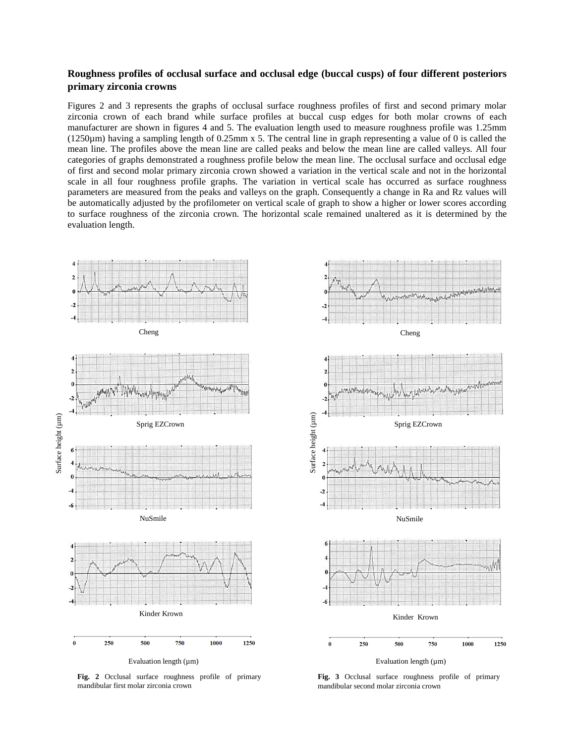# **Roughness profiles of occlusal surface and occlusal edge (buccal cusps) of four different posteriors primary zirconia crowns**

Figures 2 and 3 represents the graphs of occlusal surface roughness profiles of first and second primary molar zirconia crown of each brand while surface profiles at buccal cusp edges for both molar crowns of each manufacturer are shown in figures 4 and 5. The evaluation length used to measure roughness profile was 1.25mm (1250µm) having a sampling length of 0.25mm x 5. The central line in graph representing a value of 0 is called the mean line. The profiles above the mean line are called peaks and below the mean line are called valleys. All four categories of graphs demonstrated a roughness profile below the mean line. The occlusal surface and occlusal edge of first and second molar primary zirconia crown showed a variation in the vertical scale and not in the horizontal scale in all four roughness profile graphs. The variation in vertical scale has occurred as surface roughness parameters are measured from the peaks and valleys on the graph. Consequently a change in Ra and Rz values will be automatically adjusted by the profilometer on vertical scale of graph to show a higher or lower scores according to surface roughness of the zirconia crown. The horizontal scale remained unaltered as it is determined by the evaluation length.



**Fig. 2** Occlusal surface roughness profile of primary mandibular first molar zirconia crown



**Fig. 3** Occlusal surface roughness profile of primary mandibular second molar zirconia crown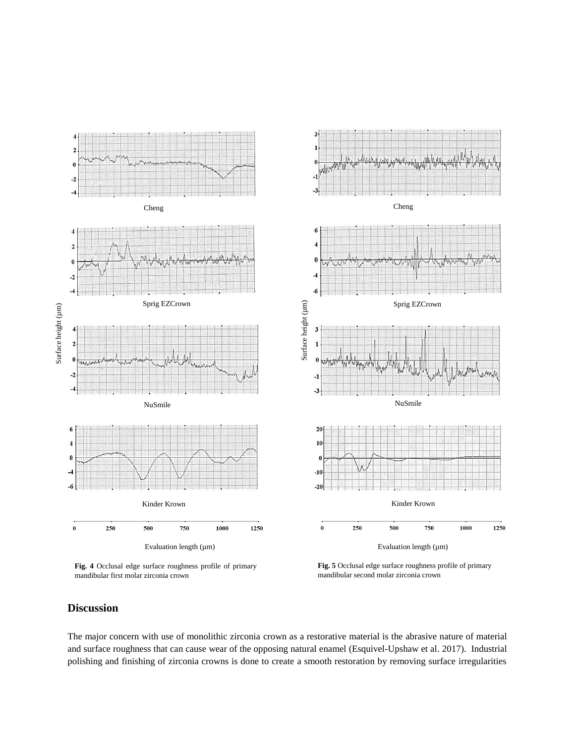

**Fig. 4** Occlusal edge surface roughness profile of primary mandibular first molar zirconia crown

**Fig. 5** Occlusal edge surface roughness profile of primary mandibular second molar zirconia crown

# **Discussion**

The major concern with use of monolithic zirconia crown as a restorative material is the abrasive nature of material and surface roughness that can cause wear of the opposing natural enamel (Esquivel-Upshaw et al. 2017). Industrial polishing and finishing of zirconia crowns is done to create a smooth restoration by removing surface irregularities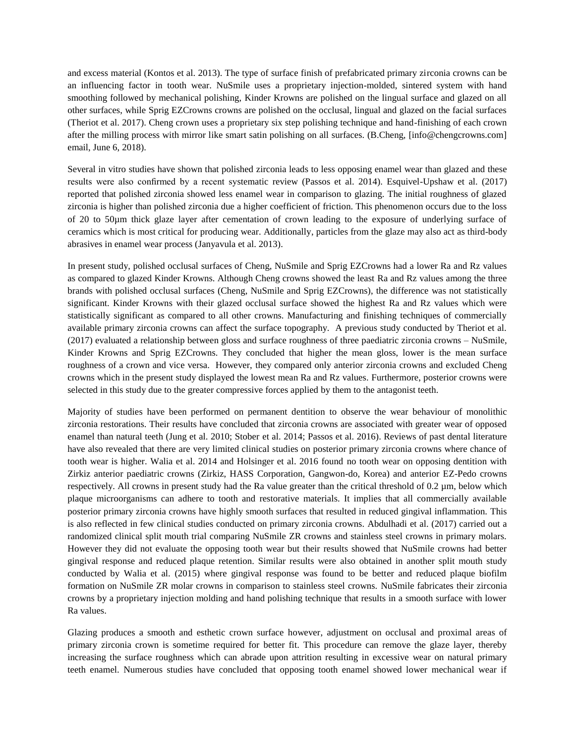and excess material (Kontos et al. 2013). The type of surface finish of prefabricated primary zirconia crowns can be an influencing factor in tooth wear. NuSmile uses a proprietary injection-molded, sintered system with hand smoothing followed by mechanical polishing, Kinder Krowns are polished on the lingual surface and glazed on all other surfaces, while Sprig EZCrowns crowns are polished on the occlusal, lingual and glazed on the facial surfaces (Theriot et al. 2017). Cheng crown uses a proprietary six step polishing technique and hand-finishing of each crown after the milling process with mirror like smart satin polishing on all surfaces. (B.Cheng, [info@chengcrowns.com] email, June 6, 2018).

Several in vitro studies have shown that polished zirconia leads to less opposing enamel wear than glazed and these results were also confirmed by a recent systematic review (Passos et al. 2014). Esquivel-Upshaw et al. (2017) reported that polished zirconia showed less enamel wear in comparison to glazing. The initial roughness of glazed zirconia is higher than polished zirconia due a higher coefficient of friction. This phenomenon occurs due to the loss of 20 to 50µm thick glaze layer after cementation of crown leading to the exposure of underlying surface of ceramics which is most critical for producing wear. Additionally, particles from the glaze may also act as third-body abrasives in enamel wear process [\(Janyavula e](https://www.ncbi.nlm.nih.gov/pubmed/?term=Janyavula%20S%5BAuthor%5D&cauthor=true&cauthor_uid=23328193)t al. 2013).

In present study, polished occlusal surfaces of Cheng, NuSmile and Sprig EZCrowns had a lower Ra and Rz values as compared to glazed Kinder Krowns. Although Cheng crowns showed the least Ra and Rz values among the three brands with polished occlusal surfaces (Cheng, NuSmile and Sprig EZCrowns), the difference was not statistically significant. Kinder Krowns with their glazed occlusal surface showed the highest Ra and Rz values which were statistically significant as compared to all other crowns. Manufacturing and finishing techniques of commercially available primary zirconia crowns can affect the surface topography. A previous study conducted by Theriot et al. (2017) evaluated a relationship between gloss and surface roughness of three paediatric zirconia crowns – NuSmile, Kinder Krowns and Sprig EZCrowns. They concluded that higher the mean gloss, lower is the mean surface roughness of a crown and vice versa. However, they compared only anterior zirconia crowns and excluded Cheng crowns which in the present study displayed the lowest mean Ra and Rz values. Furthermore, posterior crowns were selected in this study due to the greater compressive forces applied by them to the antagonist teeth.

Majority of studies have been performed on permanent dentition to observe the wear behaviour of monolithic zirconia restorations. Their results have concluded that zirconia crowns are associated with greater wear of opposed enamel than natural teeth (Jung et al. 2010; Stober et al. 2014; Passos et al. 2016). Reviews of past dental literature have also revealed that there are very limited clinical studies on posterior primary zirconia crowns where chance of tooth wear is higher. Walia et al. 2014 and Holsinger et al. 2016 found no tooth wear on opposing dentition with Zirkiz anterior paediatric crowns (Zirkiz, HASS Corporation, Gangwon-do, Korea) and anterior EZ-Pedo crowns respectively. All crowns in present study had the Ra value greater than the critical threshold of 0.2 µm, below which plaque microorganisms can adhere to tooth and restorative materials. It implies that all commercially available posterior primary zirconia crowns have highly smooth surfaces that resulted in reduced gingival inflammation. This is also reflected in few clinical studies conducted on primary zirconia crowns. Abdulhadi et al. (2017) carried out a randomized clinical split mouth trial comparing NuSmile ZR crowns and stainless steel crowns in primary molars. However they did not evaluate the opposing tooth wear but their results showed that NuSmile crowns had better gingival response and reduced plaque retention. Similar results were also obtained in another split mouth study conducted by Walia et al. (2015) where gingival response was found to be better and reduced plaque biofilm formation on NuSmile ZR molar crowns in comparison to stainless steel crowns. NuSmile fabricates their zirconia crowns by a proprietary injection molding and hand polishing technique that results in a smooth surface with lower Ra values.

Glazing produces a smooth and esthetic crown surface however, adjustment on occlusal and proximal areas of primary zirconia crown is sometime required for better fit. This procedure can remove the glaze layer, thereby increasing the surface roughness which can abrade upon attrition resulting in excessive wear on natural primary teeth enamel. Numerous studies have concluded that opposing tooth enamel showed lower mechanical wear if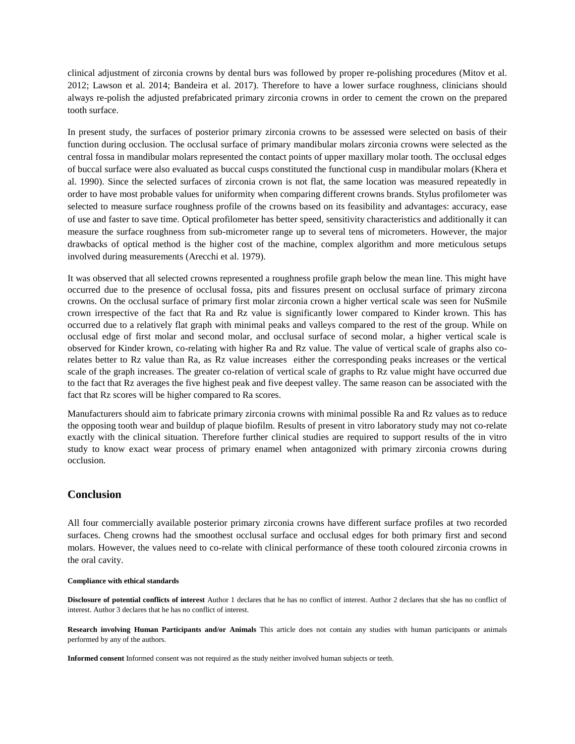clinical adjustment of zirconia crowns by dental burs was followed by proper re-polishing procedures (Mitov et al. 2012; Lawson et al. 2014; Bandeira et al. 2017). Therefore to have a lower surface roughness, clinicians should always re-polish the adjusted prefabricated primary zirconia crowns in order to cement the crown on the prepared tooth surface.

In present study, the surfaces of posterior primary zirconia crowns to be assessed were selected on basis of their function during occlusion. The occlusal surface of primary mandibular molars zirconia crowns were selected as the central fossa in mandibular molars represented the contact points of upper maxillary molar tooth. The occlusal edges of buccal surface were also evaluated as buccal cusps constituted the functional cusp in mandibular molars (Khera et al. 1990). Since the selected surfaces of zirconia crown is not flat, the same location was measured repeatedly in order to have most probable values for uniformity when comparing different crowns brands. Stylus profilometer was selected to measure surface roughness profile of the crowns based on its feasibility and advantages: accuracy, ease of use and faster to save time. Optical profilometer has better speed, sensitivity characteristics and additionally it can measure the surface roughness from sub-micrometer range up to several tens of micrometers. However, the major drawbacks of optical method is the higher cost of the machine, complex algorithm and more meticulous setups involved during measurements (Arecchi et al. 1979).

It was observed that all selected crowns represented a roughness profile graph below the mean line. This might have occurred due to the presence of occlusal fossa, pits and fissures present on occlusal surface of primary zircona crowns. On the occlusal surface of primary first molar zirconia crown a higher vertical scale was seen for NuSmile crown irrespective of the fact that Ra and Rz value is significantly lower compared to Kinder krown. This has occurred due to a relatively flat graph with minimal peaks and valleys compared to the rest of the group. While on occlusal edge of first molar and second molar, and occlusal surface of second molar, a higher vertical scale is observed for Kinder krown, co-relating with higher Ra and Rz value. The value of vertical scale of graphs also corelates better to Rz value than Ra, as Rz value increases either the corresponding peaks increases or the vertical scale of the graph increases. The greater co-relation of vertical scale of graphs to Rz value might have occurred due to the fact that Rz averages the five highest peak and five deepest valley. The same reason can be associated with the fact that Rz scores will be higher compared to Ra scores.

Manufacturers should aim to fabricate primary zirconia crowns with minimal possible Ra and Rz values as to reduce the opposing tooth wear and buildup of plaque biofilm. Results of present in vitro laboratory study may not co-relate exactly with the clinical situation. Therefore further clinical studies are required to support results of the in vitro study to know exact wear process of primary enamel when antagonized with primary zirconia crowns during occlusion.

# **Conclusion**

All four commercially available posterior primary zirconia crowns have different surface profiles at two recorded surfaces. Cheng crowns had the smoothest occlusal surface and occlusal edges for both primary first and second molars. However, the values need to co-relate with clinical performance of these tooth coloured zirconia crowns in the oral cavity.

#### **Compliance with ethical standards**

**Disclosure of potential conflicts of interest** Author 1 declares that he has no conflict of interest. Author 2 declares that she has no conflict of interest. Author 3 declares that he has no conflict of interest.

**Research involving Human Participants and/or Animals** This article does not contain any studies with human participants or animals performed by any of the authors.

**Informed consent** Informed consent was not required as the study neither involved human subjects or teeth.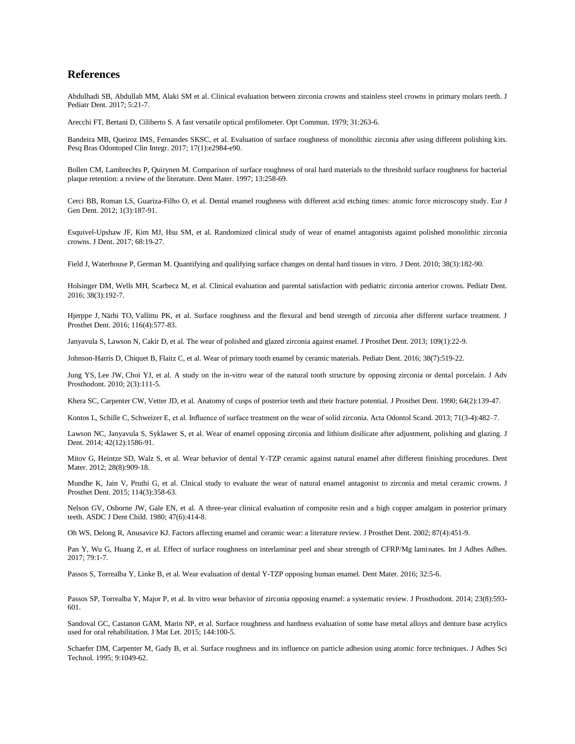# **References**

Abdulhadi SB, Abdullah MM, Alaki SM et al. Clinical evaluation between zirconia crowns and stainless steel crowns in primary molars teeth. J Pediatr Dent. 2017; 5:21-7.

Arecchi FT, Bertani D, Ciliberto S. A fast versatile optical profilometer. Opt Commun. 1979; 31:263-6.

Bandeira MB, Queiroz IMS, Fernandes SKSC, et al. Evaluation of surface roughness of monolithic zirconia after using different polishing kits. Pesq Bras Odontoped Clin Integr. 2017; 17(1):e2984-e90.

Bollen CM, Lambrechts P, Quirynen M. Comparison of surface roughness of oral hard materials to the threshold surface roughness for bacterial plaque retention: a review of the literature. Dent Mater. 1997; 13:258-69.

Cerci BB, Roman LS, Guariza-Filho O, et al. Dental enamel roughness with different acid etching times: atomic force microscopy study. Eur J Gen Dent. 2012; 1(3):187-91.

Esquivel-Upshaw JF, Kim MJ, Hsu SM, et al. Randomized clinical study of wear of enamel antagonists against polished monolithic zirconia crowns. J Dent. 2017; 68:19-27.

Field J, Waterhouse P, German M. Quantifying and qualifying surface changes on dental hard tissues in vitro. J Dent. 2010; 38(3):182-90.

Holsinger DM, Wells MH, Scarbecz M, et al. Clinical evaluation and parental satisfaction with pediatric zirconia anterior crowns. Pediatr Dent. 2016; 38(3):192-7.

[Hjerppe J,](https://www.ncbi.nlm.nih.gov/pubmed/?term=Hjerppe%20J%5BAuthor%5D&cauthor=true&cauthor_uid=27157604) [Närhi TO,](https://www.ncbi.nlm.nih.gov/pubmed/?term=N%C3%A4rhi%20TO%5BAuthor%5D&cauthor=true&cauthor_uid=27157604) [Vallittu PK,](https://www.ncbi.nlm.nih.gov/pubmed/?term=Vallittu%20PK%5BAuthor%5D&cauthor=true&cauthor_uid=27157604) et al. Surface roughness and the flexural and bend strength of zirconia after different surface treatment. J Prosthet Dent. 2016; 116(4):577-83.

[Janyavula S,](https://www.ncbi.nlm.nih.gov/pubmed/?term=Janyavula%20S%5BAuthor%5D&cauthor=true&cauthor_uid=23328193) [Lawson N,](https://www.ncbi.nlm.nih.gov/pubmed/?term=Lawson%20N%5BAuthor%5D&cauthor=true&cauthor_uid=23328193) [Cakir D,](https://www.ncbi.nlm.nih.gov/pubmed/?term=Cakir%20D%5BAuthor%5D&cauthor=true&cauthor_uid=23328193) et al. The wear of polished and glazed zirconia against enamel. J Prosthet Dent. 2013; 109(1):22-9.

Johnson-Harris D, Chiquet B, Flaitz C, et al. Wear of primary tooth enamel by ceramic materials. Pediatr Dent. 2016; 38(7):519-22.

[Jung YS,](https://www.ncbi.nlm.nih.gov/pubmed/?term=Jung%20YS%5BAuthor%5D&cauthor=true&cauthor_uid=21165280) [Lee JW,](https://www.ncbi.nlm.nih.gov/pubmed/?term=Lee%20JW%5BAuthor%5D&cauthor=true&cauthor_uid=21165280) [Choi YJ,](https://www.ncbi.nlm.nih.gov/pubmed/?term=Choi%20YJ%5BAuthor%5D&cauthor=true&cauthor_uid=21165280) et al. A study on the in-vitro wear of the natural tooth structure by opposing zirconia or dental porcelain. J Adv Prosthodont. 2010; 2(3):111-5.

Khera SC, Carpenter CW, Vetter JD, et al. Anatomy of cusps of posterior teeth and their fracture potential. J Prosthet Dent. 1990; 64(2):139-47.

Kontos L, Schille C, Schweizer E, et al. Influence of surface treatment on the wear of solid zirconia. Acta Odontol Scand. 2013; 71(3-4):482-7.

Lawson NC, Janyavula S, Syklawer S, et al. Wear of enamel opposing zirconia and lithium disilicate after adjustment, polishing and glazing. J Dent. 2014; 42(12):1586-91.

Mitov G, Heintze SD, Walz S, et al. Wear behavior of dental Y-TZP ceramic against natural enamel after different finishing procedures. Dent Mater. 2012; 28(8):909-18.

Mundhe K, Jain V, Pruthi G, et al. Clnical study to evaluate the wear of natural enamel antagonist to zirconia and metal ceramic crowns. J Prosthet Dent. 2015; 114(3):358-63.

[Nelson GV,](https://www.ncbi.nlm.nih.gov/pubmed/?term=Nelson%20GV%5BAuthor%5D&cauthor=true&cauthor_uid=6934175) [Osborne JW,](https://www.ncbi.nlm.nih.gov/pubmed/?term=Osborne%20JW%5BAuthor%5D&cauthor=true&cauthor_uid=6934175) [Gale EN,](https://www.ncbi.nlm.nih.gov/pubmed/?term=Gale%20EN%5BAuthor%5D&cauthor=true&cauthor_uid=6934175) et al. A three-year clinical evaluation of composite resin and a high copper amalgam in posterior primary teeth. ASDC J Dent Child. 1980; 47(6):414-8.

Oh WS, Delong R, Anusavice KJ. Factors affecting enamel and ceramic wear: a literature review. J Prosthet Dent. 2002; 87(4):451-9.

Pan Y, Wu G, Huang Z, et al. Effect of surface roughness on interlaminar peel and shear strength of CFRP/Mg laminates. Int J Adhes Adhes. 2017; 79:1-7.

Passos S, Torrealba Y, Linke B, et al. Wear evaluation of dental Y-TZP opposing human enamel. Dent Mater. 2016; 32:5-6.

Passos SP, Torrealba Y, Major P, et al. In vitro wear behavior of zirconia opposing enamel: a systematic review. J Prosthodont. 2014; 23(8):593- 601.

Sandoval GC, Castanon GAM, Marin NP, et al. Surface roughness and hardness evaluation of some base metal alloys and denture base acrylics used for oral rehabilitation. J Mat Let. 2015; 144:100-5.

[Schaefer](https://www.tandfonline.com/author/Schaefer%2C+DM) DM, [Carpenter](https://www.tandfonline.com/author/Carpenter%2C+M) M[, Gady](https://www.tandfonline.com/author/Gady%2C+B) B, et al. Surface roughness and its influence on particle adhesion using atomic force techniques. J Adhes Sci Technol. 1995; 9:1049-62.